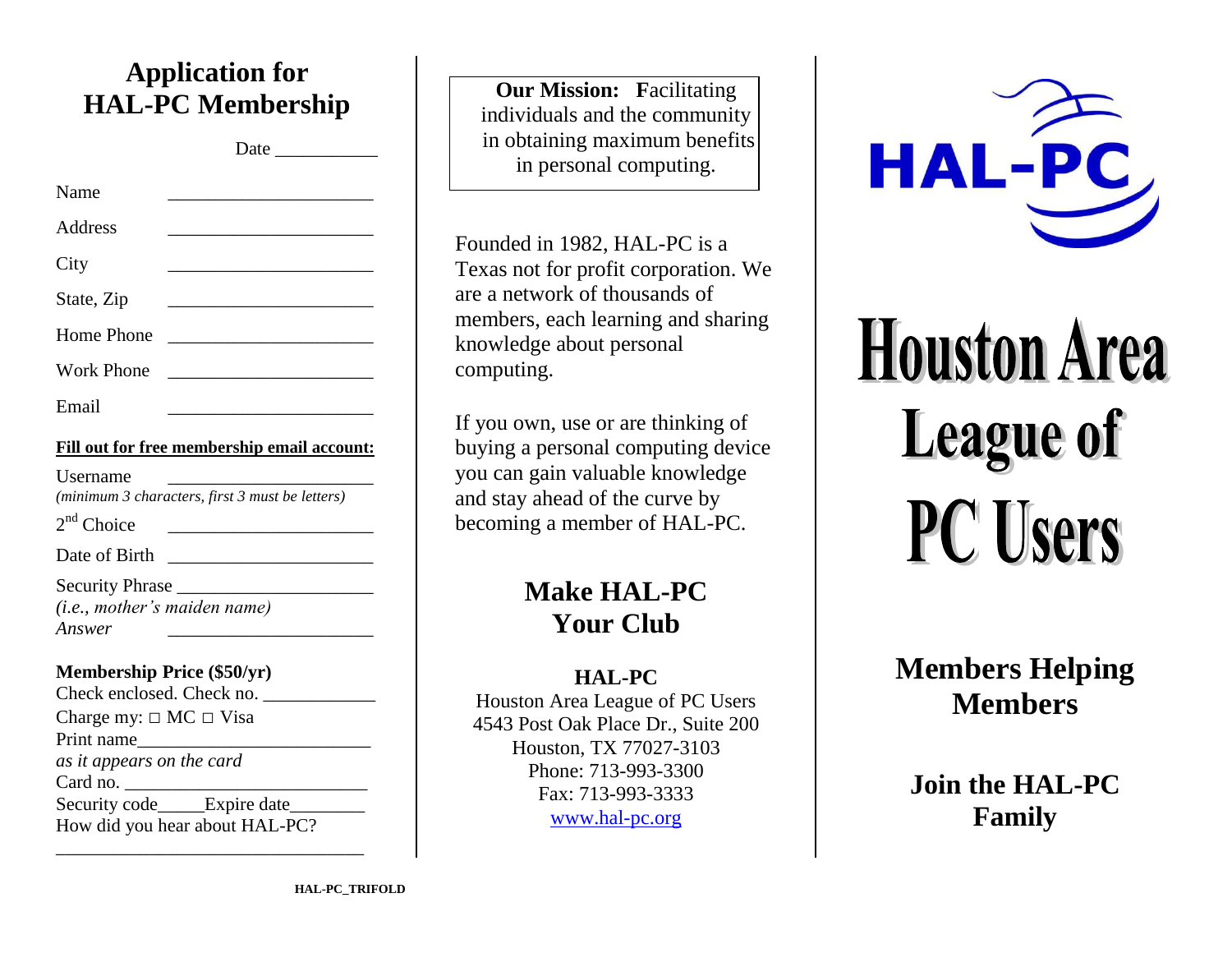## **Application for HAL-PC Membership**

Date  $\Box$ 

| Name              | the control of the control of the control of the control of the control of |  |
|-------------------|----------------------------------------------------------------------------|--|
| Address           |                                                                            |  |
| City              | the control of the control of the control of                               |  |
| State, Zip        |                                                                            |  |
| <b>Home Phone</b> |                                                                            |  |
| <b>Work Phone</b> |                                                                            |  |
| Email             |                                                                            |  |

| Fill out for free membership email account: |
|---------------------------------------------|
|---------------------------------------------|

| <b>Username</b><br>(minimum 3 characters, first 3 must be letters) |  |
|--------------------------------------------------------------------|--|
| $2nd$ Choice                                                       |  |
| Date of Birth                                                      |  |
| Security Phrase<br>( <i>i.e.</i> , mother's maiden name)<br>Answer |  |

#### **Membership Price (\$50/yr)**

| Check enclosed. Check no.        |  |
|----------------------------------|--|
| Charge my: $\Box$ MC $\Box$ Visa |  |
| Print name                       |  |
| as it appears on the card        |  |
| Card no.                         |  |
| Security code Expire date        |  |
| How did you hear about HAL-PC?   |  |
|                                  |  |

**Our Mission: Facilitating** individuals and the community in obtaining maximum benefits in personal computing.

Founded in 1982, HAL-PC is a Texas not for profit corporation. We are a network of thousands of members, each learning and sharing knowledge about personal computing.

If you own, use or are thinking of buying a personal computing device you can gain valuable knowledge and stay ahead of the curve by becoming a member of HAL-PC.

# **Make HAL-PC Your Club**

#### **HAL-PC**

Houston Area League of PC Users 4543 Post Oak Place Dr., Suite 200 Houston, TX 77027-3103 Phone: 713-993-3300 Fax: 713-993-3333 [www.hal-pc.org](http://www.hal-pc.org/)



**Houston Area League of PC Users** 

> **Members Helping Members**

**Join the HAL-PC Family**